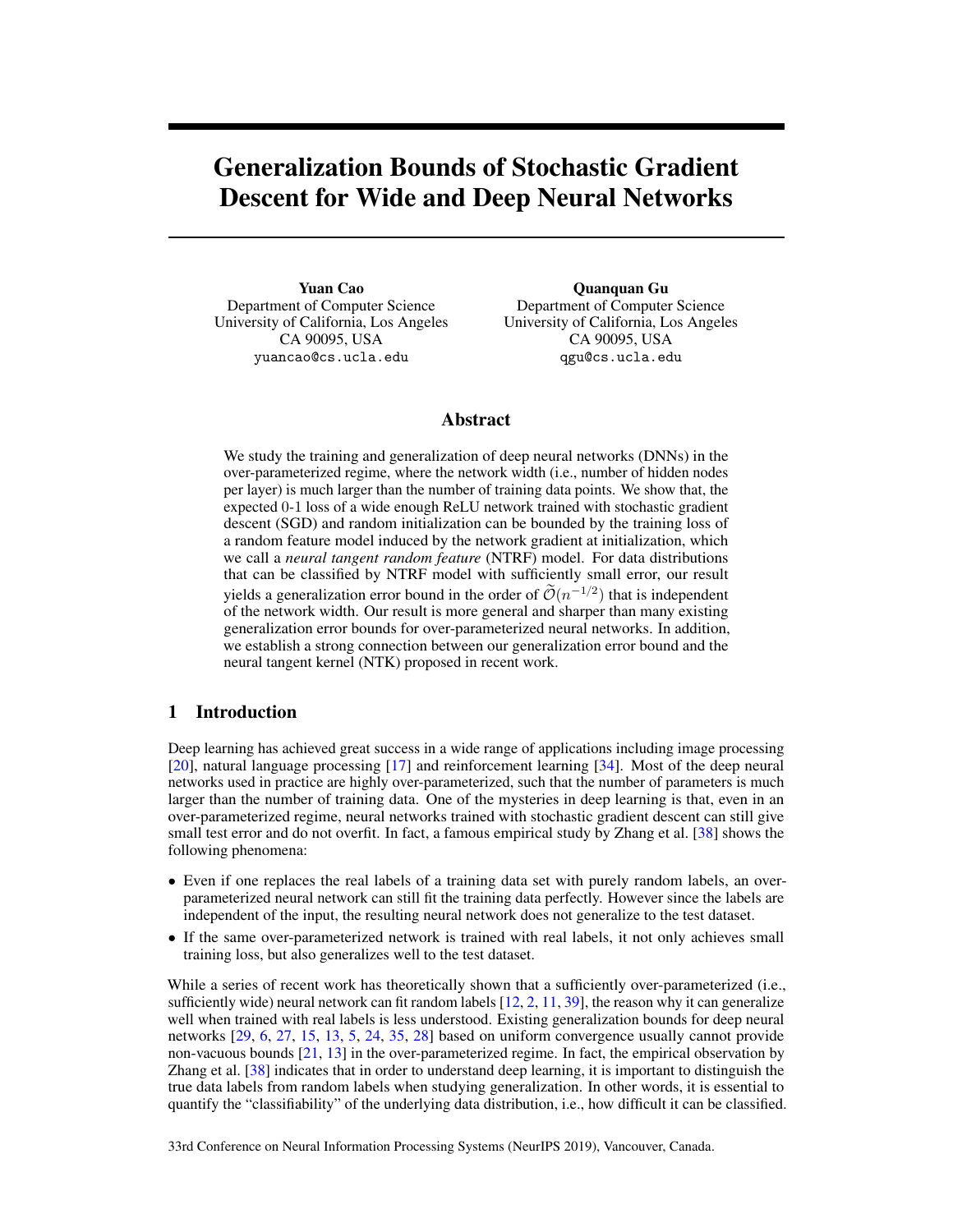# Generalization Bounds of Stochastic Gradient Descent for Wide and Deep Neural Networks

Yuan Cao Department of Computer Science University of California, Los Angeles CA 90095, USA yuancao@cs.ucla.edu

Quanquan Gu Department of Computer Science University of California, Los Angeles CA 90095, USA qgu@cs.ucla.edu

# Abstract

We study the training and generalization of deep neural networks (DNNs) in the over-parameterized regime, where the network width (i.e., number of hidden nodes per layer) is much larger than the number of training data points. We show that, the expected 0-1 loss of a wide enough ReLU network trained with stochastic gradient descent (SGD) and random initialization can be bounded by the training loss of a random feature model induced by the network gradient at initialization, which we call a *neural tangent random feature* (NTRF) model. For data distributions that can be classified by NTRF model with sufficiently small error, our result yields a generalization error bound in the order of  $\tilde{\mathcal{O}}(n^{-1/2})$  that is independent of the network width. Our result is more general and sharper than many existing generalization error bounds for over-parameterized neural networks. In addition, we establish a strong connection between our generalization error bound and the neural tangent kernel (NTK) proposed in recent work.

# 1 Introduction

Deep learning has achieved great success in a wide range of applications including image processing [\[20\]](#page-10-0), natural language processing [\[17\]](#page-9-0) and reinforcement learning [\[34\]](#page-10-1). Most of the deep neural networks used in practice are highly over-parameterized, such that the number of parameters is much larger than the number of training data. One of the mysteries in deep learning is that, even in an over-parameterized regime, neural networks trained with stochastic gradient descent can still give small test error and do not overfit. In fact, a famous empirical study by Zhang et al. [\[38\]](#page-10-2) shows the following phenomena:

- Even if one replaces the real labels of a training data set with purely random labels, an overparameterized neural network can still fit the training data perfectly. However since the labels are independent of the input, the resulting neural network does not generalize to the test dataset.
- If the same over-parameterized network is trained with real labels, it not only achieves small training loss, but also generalizes well to the test dataset.

While a series of recent work has theoretically shown that a sufficiently over-parameterized (i.e., sufficiently wide) neural network can fit random labels  $[12, 2, 11, 39]$  $[12, 2, 11, 39]$  $[12, 2, 11, 39]$  $[12, 2, 11, 39]$  $[12, 2, 11, 39]$  $[12, 2, 11, 39]$  $[12, 2, 11, 39]$ , the reason why it can generalize well when trained with real labels is less understood. Existing generalization bounds for deep neural networks [\[29,](#page-10-4) [6,](#page-9-4) [27,](#page-10-5) [15,](#page-9-5) [13,](#page-9-6) [5,](#page-9-7) [24,](#page-10-6) [35,](#page-10-7) [28\]](#page-10-8) based on uniform convergence usually cannot provide non-vacuous bounds [\[21,](#page-10-9) [13\]](#page-9-6) in the over-parameterized regime. In fact, the empirical observation by Zhang et al. [\[38\]](#page-10-2) indicates that in order to understand deep learning, it is important to distinguish the true data labels from random labels when studying generalization. In other words, it is essential to quantify the "classifiability" of the underlying data distribution, i.e., how difficult it can be classified.

33rd Conference on Neural Information Processing Systems (NeurIPS 2019), Vancouver, Canada.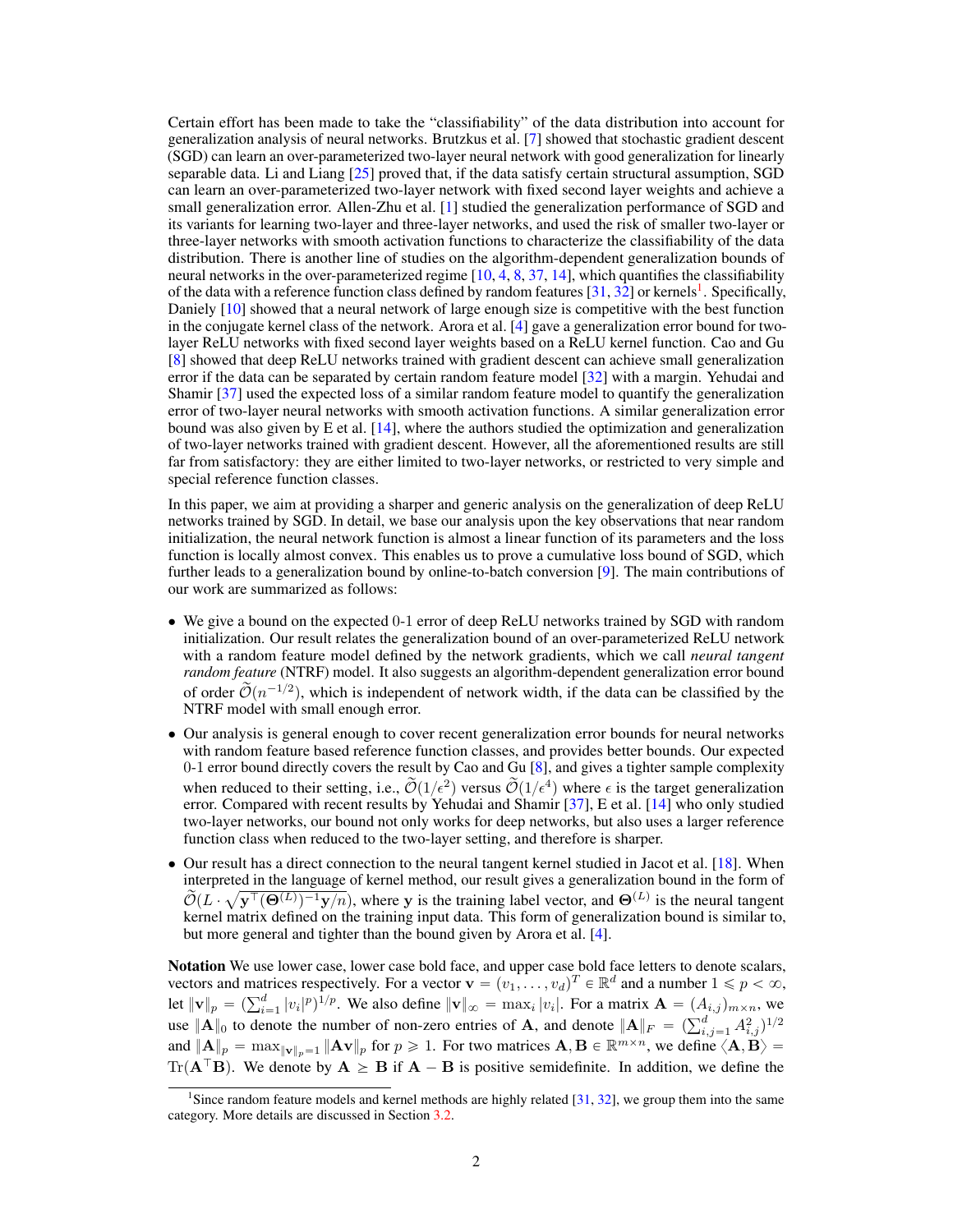Certain effort has been made to take the "classifiability" of the data distribution into account for generalization analysis of neural networks. Brutzkus et al. [\[7\]](#page-9-8) showed that stochastic gradient descent (SGD) can learn an over-parameterized two-layer neural network with good generalization for linearly separable data. Li and Liang [\[25\]](#page-10-10) proved that, if the data satisfy certain structural assumption, SGD can learn an over-parameterized two-layer network with fixed second layer weights and achieve a small generalization error. Allen-Zhu et al. [\[1\]](#page-9-9) studied the generalization performance of SGD and its variants for learning two-layer and three-layer networks, and used the risk of smaller two-layer or three-layer networks with smooth activation functions to characterize the classifiability of the data distribution. There is another line of studies on the algorithm-dependent generalization bounds of neural networks in the over-parameterized regime [\[10,](#page-9-10) [4,](#page-9-11) [8,](#page-9-12) [37,](#page-10-11) [14\]](#page-9-13), which quantifies the classifiability of the data with a reference function class defined by random features [\[31,](#page-10-12) [32\]](#page-10-13) or kernels<sup>[1](#page-1-0)</sup>. Specifically, Daniely [\[10\]](#page-9-10) showed that a neural network of large enough size is competitive with the best function in the conjugate kernel class of the network. Arora et al. [\[4\]](#page-9-11) gave a generalization error bound for twolayer ReLU networks with fixed second layer weights based on a ReLU kernel function. Cao and Gu [\[8\]](#page-9-12) showed that deep ReLU networks trained with gradient descent can achieve small generalization error if the data can be separated by certain random feature model [\[32\]](#page-10-13) with a margin. Yehudai and Shamir [\[37\]](#page-10-11) used the expected loss of a similar random feature model to quantify the generalization error of two-layer neural networks with smooth activation functions. A similar generalization error bound was also given by E et al. [\[14\]](#page-9-13), where the authors studied the optimization and generalization of two-layer networks trained with gradient descent. However, all the aforementioned results are still far from satisfactory: they are either limited to two-layer networks, or restricted to very simple and special reference function classes.

In this paper, we aim at providing a sharper and generic analysis on the generalization of deep ReLU networks trained by SGD. In detail, we base our analysis upon the key observations that near random initialization, the neural network function is almost a linear function of its parameters and the loss function is locally almost convex. This enables us to prove a cumulative loss bound of SGD, which further leads to a generalization bound by online-to-batch conversion [\[9\]](#page-9-14). The main contributions of our work are summarized as follows:

- We give a bound on the expected 0-1 error of deep ReLU networks trained by SGD with random initialization. Our result relates the generalization bound of an over-parameterized ReLU network with a random feature model defined by the network gradients, which we call *neural tangent random feature* (NTRF) model. It also suggests an algorithm-dependent generalization error bound of order  $\tilde{\mathcal{O}}(n^{-1/2})$ , which is independent of network width, if the data can be classified by the NTRF model with small enough error.
- Our analysis is general enough to cover recent generalization error bounds for neural networks with random feature based reference function classes, and provides better bounds. Our expected 0-1 error bound directly covers the result by Cao and Gu [\[8\]](#page-9-12), and gives a tighter sample complexity when reduced to their setting, i.e.,  $\widetilde{\mathcal{O}}(1/\epsilon^2)$  versus  $\widetilde{\mathcal{O}}(1/\epsilon^4)$  where  $\epsilon$  is the target generalization error. Compared with recent results by Yehudai and Shamir [\[37\]](#page-10-11), E et al. [\[14\]](#page-9-13) who only studied two-layer networks, our bound not only works for deep networks, but also uses a larger reference function class when reduced to the two-layer setting, and therefore is sharper.
- Our result has a direct connection to the neural tangent kernel studied in Jacot et al. [\[18\]](#page-9-15). When interpreted in the language of kernel method, our result gives a generalization bound in the form of a  $\widetilde{\mathcal{O}}(L \cdot \sqrt{\mathbf{y}^{\top}(\Theta^{(L)})^{-1}\mathbf{y}/n})$ , where y is the training label vector, and  $\Theta^{(L)}$  is the neural tangent kernel matrix defined on the training input data. This form of generalization bound is similar to, but more general and tighter than the bound given by Arora et al. [\[4\]](#page-9-11).

Notation We use lower case, lower case bold face, and upper case bold face letters to denote scalars, vectors and matrices respectively. For a vector  $\mathbf{v} = (v_1, \dots, v_d)^T \in \mathbb{R}^d$  and a number  $1 \leq p < \infty$ , vectors and matrices respectively. For a vector  $\mathbf{v} = (v_1, \dots, v_d)^2 \in \mathbb{R}^3$  and a number  $1 \le p < \infty$ ,<br>let  $\|\mathbf{v}\|_p = (\sum_{i=1}^d |v_i|^p)^{1/p}$ . We also define  $\|\mathbf{v}\|_{\infty} = \max_i |v_i|$ . For a matrix  $\mathbf{A} = (A_{i,j})_{m \times n}$ , we and  $||A||_p = \max_{||\mathbf{v}||_p = 1} ||A\mathbf{v}||_p$  for  $p \ge 1$ . For two matrices  $\mathbf{A}, \mathbf{B} \in \mathbb{R}^{m \times n}$ , we define  $\langle \mathbf{A}, \mathbf{B} \rangle =$ Tr( $A^{\top}B$ ). We denote by  $A \geq B$  if  $A - B$  is positive semidefinite. In addition, we define the

<span id="page-1-0"></span><sup>&</sup>lt;sup>1</sup>Since random feature models and kernel methods are highly related [\[31,](#page-10-12) [32\]](#page-10-13), we group them into the same category. More details are discussed in Section [3.2.](#page-4-0)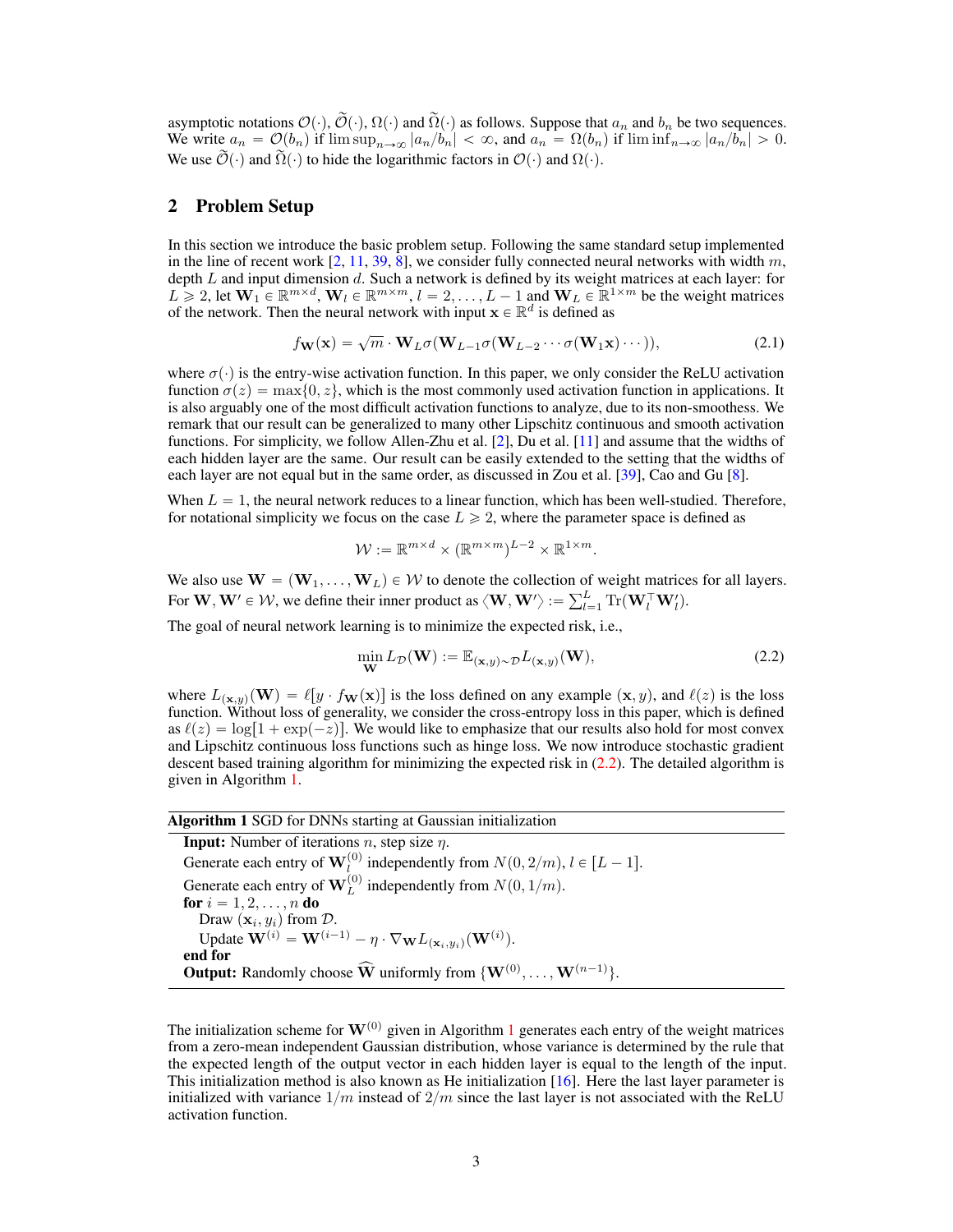asymptotic notations  $\mathcal{O}(\cdot), \widetilde{\mathcal{O}}(\cdot), \Omega(\cdot)$  and  $\widetilde{\Omega}(\cdot)$  as follows. Suppose that  $a_n$  and  $b_n$  be two sequences. We write  $a_n = \mathcal{O}(b_n)$  if  $\limsup_{n\to\infty} |a_n/b_n| < \infty$ , and  $a_n = \Omega(b_n)$  if  $\liminf_{n\to\infty} |a_n/b_n| > 0$ . We use  $\widetilde{\mathcal{O}}(\cdot)$  and  $\widetilde{\Omega}(\cdot)$  to hide the logarithmic factors in  $\mathcal{O}(\cdot)$  and  $\Omega(\cdot)$ .

# 2 Problem Setup

In this section we introduce the basic problem setup. Following the same standard setup implemented in the line of recent work  $[2, 11, 39, 8]$  $[2, 11, 39, 8]$  $[2, 11, 39, 8]$  $[2, 11, 39, 8]$  $[2, 11, 39, 8]$  $[2, 11, 39, 8]$  $[2, 11, 39, 8]$ , we consider fully connected neural networks with width m, depth  $L$  and input dimension  $d$ . Such a network is defined by its weight matrices at each layer: for  $L \geq 2$ , let  $W_1 \in \mathbb{R}^{m \times d}$ ,  $W_l \in \mathbb{R}^{m \times m}$ ,  $l = 2, \ldots, L-1$  and  $W_L \in \mathbb{R}^{1 \times m}$  be the weight matrices of the network. Then the neural network with input  $\mathbf{x} \in \mathbb{R}^d$  is defined as

$$
f_{\mathbf{W}}(\mathbf{x}) = \sqrt{m} \cdot \mathbf{W}_L \sigma(\mathbf{W}_{L-1} \sigma(\mathbf{W}_{L-2} \cdots \sigma(\mathbf{W}_1 \mathbf{x}) \cdots)),
$$
\n(2.1)

where  $\sigma(\cdot)$  is the entry-wise activation function. In this paper, we only consider the ReLU activation function  $\sigma(z) = \max\{0, z\}$ , which is the most commonly used activation function in applications. It is also arguably one of the most difficult activation functions to analyze, due to its non-smoothess. We remark that our result can be generalized to many other Lipschitz continuous and smooth activation functions. For simplicity, we follow Allen-Zhu et al. [\[2\]](#page-9-2), Du et al. [\[11\]](#page-9-3) and assume that the widths of each hidden layer are the same. Our result can be easily extended to the setting that the widths of each layer are not equal but in the same order, as discussed in Zou et al. [\[39\]](#page-10-3), Cao and Gu [\[8\]](#page-9-12).

When  $L = 1$ , the neural network reduces to a linear function, which has been well-studied. Therefore, for notational simplicity we focus on the case  $L \ge 2$ , where the parameter space is defined as

<span id="page-2-2"></span>
$$
\mathcal{W} := \mathbb{R}^{m \times d} \times (\mathbb{R}^{m \times m})^{L-2} \times \mathbb{R}^{1 \times m}.
$$

We also use  $\mathbf{W} = (\mathbf{W}_1, \dots, \mathbf{W}_L) \in \mathcal{W}$  to denote the collection of weight matrices for all layers. We also use  $W = (W_1, ..., W_L) \in W$  to denote the collection of<br>For  $W, W' \in W$ , we define their inner product as  $\langle W, W' \rangle := \sum_{l=1}^{L}$  $_{l=1}^{L} \text{Tr}(\mathbf{W}_{l}^{\top} \mathbf{W}_{l}^{\prime}).$ 

The goal of neural network learning is to minimize the expected risk, i.e.,

<span id="page-2-0"></span>
$$
\min_{\mathbf{W}} L_{\mathcal{D}}(\mathbf{W}) := \mathbb{E}_{(\mathbf{x}, y) \sim \mathcal{D}} L_{(\mathbf{x}, y)}(\mathbf{W}),\tag{2.2}
$$

where  $L_{(\mathbf{x},y)}(\mathbf{W}) = \ell[y \cdot f_{\mathbf{W}}(\mathbf{x})]$  is the loss defined on any example  $(\mathbf{x}, y)$ , and  $\ell(z)$  is the loss function. Without loss of generality, we consider the cross-entropy loss in this paper, which is defined as  $\ell(z) = \log[1 + \exp(-z)]$ . We would like to emphasize that our results also hold for most convex and Lipschitz continuous loss functions such as hinge loss. We now introduce stochastic gradient descent based training algorithm for minimizing the expected risk in [\(2.2\)](#page-2-0). The detailed algorithm is given in Algorithm [1.](#page-2-1)

#### Algorithm 1 SGD for DNNs starting at Gaussian initialization

<span id="page-2-1"></span>**Input:** Number of iterations *n*, step size  $\eta$ . Generate each entry of  $\mathbf{W}_{l}^{(0)}$  independently from  $N(0, 2/m)$ ,  $l \in [L - 1]$ . Generate each entry of  $\mathbf{W}_{L}^{(0)}$  independently from  $N(0, 1/m)$ . for  $i = 1, 2, ..., n$  do Draw  $(\mathbf{x}_i, y_i)$  from  $\mathcal{D}$ . Update  $\mathbf{W}^{(i)} = \mathbf{W}^{(i-1)} - \eta \cdot \nabla_{\mathbf{W}} L_{(\mathbf{x}_i, y_i)}(\mathbf{W}^{(i)}).$ end for **Output:** Randomly choose  $\widehat{W}$  uniformly from  $\{W^{(0)}, \ldots, W^{(n-1)}\}$ .

The initialization scheme for  $W^{(0)}$  given in Algorithm [1](#page-2-1) generates each entry of the weight matrices from a zero-mean independent Gaussian distribution, whose variance is determined by the rule that the expected length of the output vector in each hidden layer is equal to the length of the input. This initialization method is also known as He initialization [\[16\]](#page-9-16). Here the last layer parameter is initialized with variance  $1/m$  instead of  $2/m$  since the last layer is not associated with the ReLU activation function.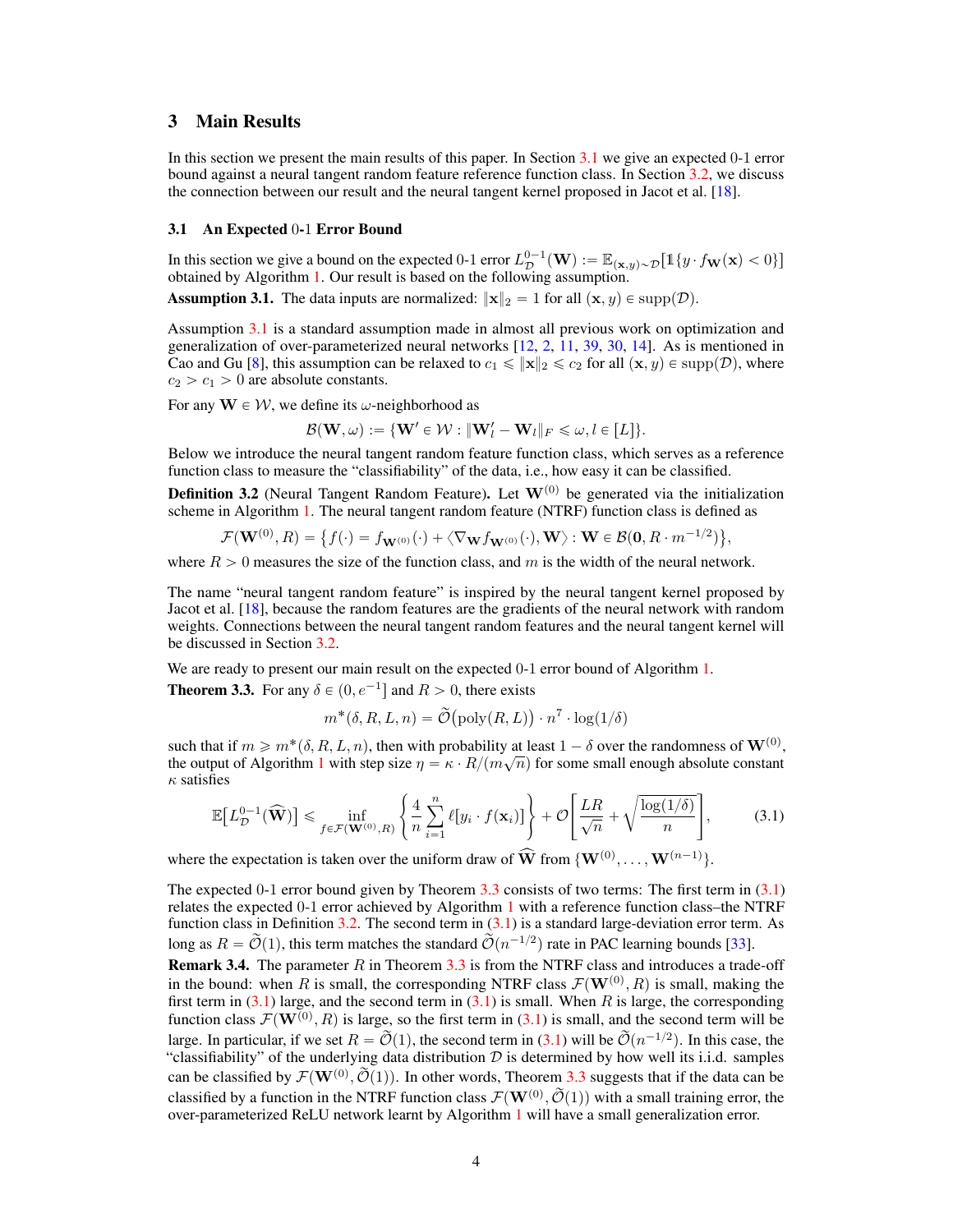## 3 Main Results

In this section we present the main results of this paper. In Section [3.1](#page-3-0) we give an expected 0-1 error bound against a neural tangent random feature reference function class. In Section [3.2,](#page-4-0) we discuss the connection between our result and the neural tangent kernel proposed in Jacot et al. [\[18\]](#page-9-15).

#### <span id="page-3-0"></span>3.1 An Expected 0-1 Error Bound

In this section we give a bound on the expected 0-1 error  $L^{0-1}_{\mathcal{D}}(\mathbf{W}):=\mathbb{E}_{(\mathbf{x},y)\sim\mathcal{D}}\big[\mathbb{1}\{y\cdot f_{\mathbf{W}}(\mathbf{x})<0\}\big]$ obtained by Algorithm [1.](#page-2-1) Our result is based on the following assumption.

<span id="page-3-1"></span>**Assumption 3.1.** The data inputs are normalized:  $\|\mathbf{x}\|_2 = 1$  for all  $(\mathbf{x}, y) \in \text{supp}(\mathcal{D})$ .

Assumption [3.1](#page-3-1) is a standard assumption made in almost all previous work on optimization and generalization of over-parameterized neural networks [\[12,](#page-9-1) [2,](#page-9-2) [11,](#page-9-3) [39,](#page-10-3) [30,](#page-10-14) [14\]](#page-9-13). As is mentioned in Cao and Gu [\[8\]](#page-9-12), this assumption can be relaxed to  $c_1 \leqslant ||\mathbf{x}||_2 \leqslant c_2$  for all  $(\mathbf{x}, y) \in \text{supp}(\mathcal{D})$ , where  $c_2 > c_1 > 0$  are absolute constants.

For any  $W \in W$ , we define its  $\omega$ -neighborhood as

 $\mathcal{B}(\mathbf{W}, \omega) := \{ \mathbf{W}' \in \mathcal{W} : \|\mathbf{W}'_l - \mathbf{W}_l\|_F \leqslant \omega, l \in [L] \}.$ 

Below we introduce the neural tangent random feature function class, which serves as a reference function class to measure the "classifiability" of the data, i.e., how easy it can be classified.

<span id="page-3-4"></span>**Definition 3.2** (Neural Tangent Random Feature). Let  $W^{(0)}$  be generated via the initialization

scheme in Algorithm 1. The neural tangent random feature (NTRF) function class is defined as  
\n
$$
\mathcal{F}(\mathbf{W}^{(0)}, R) = \{f(\cdot) = f_{\mathbf{W}^{(0)}}(\cdot) + \langle \nabla_{\mathbf{W}} f_{\mathbf{W}^{(0)}}(\cdot), \mathbf{W} \rangle : \mathbf{W} \in \mathcal{B}(\mathbf{0}, R \cdot m^{-1/2})\},
$$

where  $R > 0$  measures the size of the function class, and m is the width of the neural network.

The name "neural tangent random feature" is inspired by the neural tangent kernel proposed by Jacot et al. [\[18\]](#page-9-15), because the random features are the gradients of the neural network with random weights. Connections between the neural tangent random features and the neural tangent kernel will be discussed in Section [3.2.](#page-4-0)

We are ready to present our main result on the expected 0-1 error bound of Algorithm [1.](#page-2-1)

<span id="page-3-2"></span>**Theorem 3.3.** For any  $\delta \in (0, e^{-1}]$  and  $R > 0$ , there exists

<span id="page-3-3"></span>
$$
m^*(\delta, R, L, n) = \widetilde{\mathcal{O}}(\text{poly}(R, L)) \cdot n^7 \cdot \log(1/\delta)
$$

such that if  $m \ge m^*(\delta, R, L, n)$ , then with probability at least  $1 - \delta$  over the randomness of  $\mathbf{W}^{(0)}$ , the output of Algorithm [1](#page-2-1) with step size  $\eta = \kappa \cdot R/(m\sqrt{n})$  for some small enough absolute constant  $\kappa$  satisfies # « c. for the control of the control of the control of the control of the control of the control of the control of the control of the control of the control of the control of the control of the control of the control of the cont

$$
\mathbb{E}\big[L_{\mathcal{D}}^{0-1}(\widehat{\mathbf{W}})\big] \le \inf_{f \in \mathcal{F}(\mathbf{W}^{(0)},R)} \left\{\frac{4}{n} \sum_{i=1}^{n} \ell[y_i \cdot f(\mathbf{x}_i)]\right\} + \mathcal{O}\bigg[\frac{LR}{\sqrt{n}} + \sqrt{\frac{\log(1/\delta)}{n}}\bigg],\tag{3.1}
$$

where the expectation is taken over the uniform draw of  $\widehat{W}$  from  $\{W^{(0)}, \ldots, W^{(n-1)}\}$ .

The expected 0-1 error bound given by Theorem [3.3](#page-3-2) consists of two terms: The first term in [\(3.1\)](#page-3-3) relates the expected 0-1 error achieved by Algorithm [1](#page-2-1) with a reference function class–the NTRF function class in Definition [3.2.](#page-3-4) The second term in  $(3.1)$  is a standard large-deviation error term. As long as  $R = \tilde{\mathcal{O}}(1)$ , this term matches the standard  $\tilde{\mathcal{O}}(n^{-1/2})$  rate in PAC learning bounds [\[33\]](#page-10-15).

**Remark 3.4.** The parameter  $R$  in Theorem [3.3](#page-3-2) is from the NTRF class and introduces a trade-off in the bound: when R is small, the corresponding NTRF class  $\mathcal{F}(\mathbf{W}^{(0)},R)$  is small, making the first term in  $(3.1)$  large, and the second term in  $(3.1)$  is small. When R is large, the corresponding function class  $\mathcal{F}(\mathbf{W}^{(0)}, R)$  is large, so the first term in [\(3.1\)](#page-3-3) is small, and the second term will be large. In particular, if we set  $R = \tilde{\mathcal{O}}(1)$ , the second term in [\(3.1\)](#page-3-3) will be  $\tilde{\mathcal{O}}(n^{-1/2})$ . In this case, the "classifiability" of the underlying data distribution  $D$  is determined by how well its i.i.d. samples can be classified by  $\mathcal{F}(\mathbf{W}^{(0)}, \widetilde{\mathcal{O}}(1))$ . In other words, Theorem [3.3](#page-3-2) suggests that if the data can be classified by a function in the NTRF function class  $\mathcal{F}(\mathbf{W}^{(0)}, \widetilde{\mathcal{O}}(1))$  with a small training error, the over-parameterized ReLU network learnt by Algorithm [1](#page-2-1) will have a small generalization error.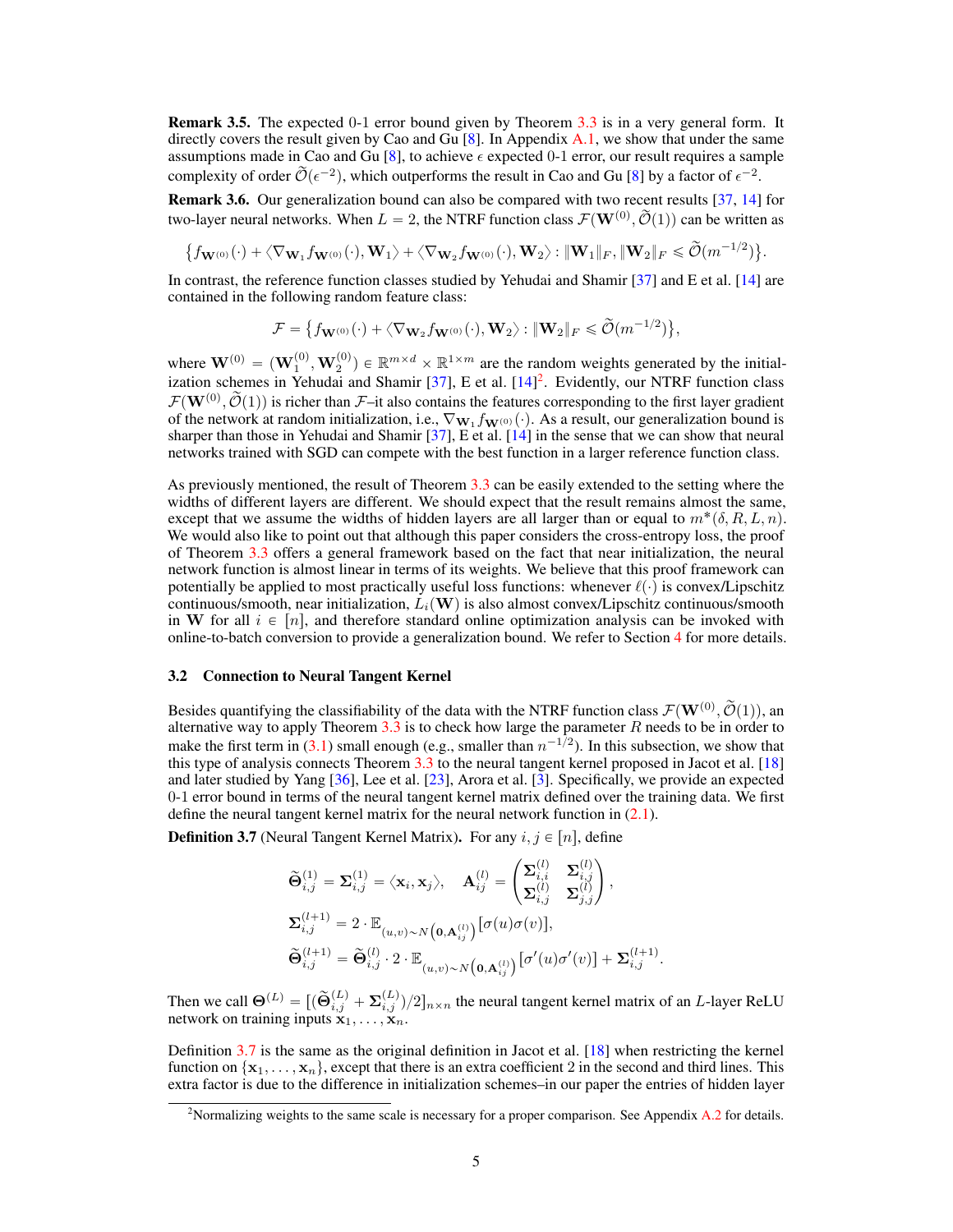**Remark 3.5.** The expected 0-1 error bound given by Theorem [3.3](#page-3-2) is in a very general form. It directly covers the result given by Cao and Gu  $[8]$ . In Appendix A.1, we show that under the same assumptions made in Cao and Gu [\[8\]](#page-9-12), to achieve  $\epsilon$  expected 0-1 error, our result requires a sample complexity of order  $\widetilde{\mathcal{O}}(\epsilon^{-2})$ , which outperforms the result in Cao and Gu [\[8\]](#page-9-12) by a factor of  $\epsilon^{-2}$ . Remark 3.6. Our generalization bound can also be compared with two recent results [\[37,](#page-10-11) [14\]](#page-9-13) for two-layer neural networks. When  $L = 2$ , the NTRF function class  $\mathcal{F}(\mathbf{W}^{(0)}, \widetilde{\mathcal{O}}(1))$  can be written as

$$
\big\{f_{\mathbf{W}^{(0)}}(\cdot)+\big\langle\nabla_{\mathbf{W}_1}f_{\mathbf{W}^{(0)}}(\cdot),\mathbf{W}_1\big\rangle+\big\langle\nabla_{\mathbf{W}_2}f_{\mathbf{W}^{(0)}}(\cdot),\mathbf{W}_2\big\rangle\colon\|\mathbf{W}_1\|_F,\|\mathbf{W}_2\|_F\leqslant \widetilde{\mathcal{O}}(m^{-1/2})\big\}.
$$

In contrast, the reference function classes studied by Yehudai and Shamir [\[37\]](#page-10-11) and E et al. [\[14\]](#page-9-13) are contained in the following random feature class:

$$
\mathcal{F} = \big\{ f_{\mathbf{W}^{(0)}}(\cdot) + \big\langle \nabla_{\mathbf{W}_2} f_{\mathbf{W}^{(0)}}(\cdot), \mathbf{W}_2 \big\rangle : \|\mathbf{W}_2\|_F \leqslant \widetilde{\mathcal{O}}(m^{-1/2}) \big\},
$$

where  $\mathbf{W}^{(0)} = (\mathbf{W}_1^{(0)}, \mathbf{W}_2^{(0)}) \in \mathbb{R}^{m \times d} \times \mathbb{R}^{1 \times m}$  are the random weights generated by the initial-ization schemes in Yehudai and Shamir [\[37\]](#page-10-11), E et al. [\[14\]](#page-9-13)<sup>[2](#page-4-1)</sup>. Evidently, our NTRF function class  $\mathcal{F}(\mathbf{W}^{(0)}, \widetilde{\mathcal{O}}(1))$  is richer than  $\mathcal{F}-i$ t also contains the features corresponding to the first layer gradient of the network at random initialization, i.e.,  $\nabla_{\mathbf{W}_1} f_{\mathbf{W}^{(0)}}(\cdot)$ . As a result, our generalization bound is sharper than those in Yehudai and Shamir [\[37\]](#page-10-11), E et al. [\[14\]](#page-9-13) in the sense that we can show that neural networks trained with SGD can compete with the best function in a larger reference function class.

As previously mentioned, the result of Theorem [3.3](#page-3-2) can be easily extended to the setting where the widths of different layers are different. We should expect that the result remains almost the same, except that we assume the widths of hidden layers are all larger than or equal to  $m^*(\delta, R, L, n)$ . We would also like to point out that although this paper considers the cross-entropy loss, the proof of Theorem [3.3](#page-3-2) offers a general framework based on the fact that near initialization, the neural network function is almost linear in terms of its weights. We believe that this proof framework can potentially be applied to most practically useful loss functions: whenever  $\ell(\cdot)$  is convex/Lipschitz continuous/smooth, near initialization,  $L_i(\mathbf{W})$  is also almost convex/Lipschitz continuous/smooth in W for all  $i \in [n]$ , and therefore standard online optimization analysis can be invoked with online-to-batch conversion to provide a generalization bound. We refer to Section [4](#page-6-0) for more details.

#### <span id="page-4-0"></span>3.2 Connection to Neural Tangent Kernel

Besides quantifying the classifiability of the data with the NTRF function class  $\mathcal{F}(\mathbf{W}^{(0)}, \tilde{\mathcal{O}}(1))$ , an alternative way to apply Theorem  $3.3$  is to check how large the parameter  $R$  needs to be in order to make the first term in [\(3.1\)](#page-3-3) small enough (e.g., smaller than  $n^{-1/2}$ ). In this subsection, we show that this type of analysis connects Theorem [3.3](#page-3-2) to the neural tangent kernel proposed in Jacot et al. [\[18\]](#page-9-15) and later studied by Yang [\[36\]](#page-10-16), Lee et al. [\[23\]](#page-10-17), Arora et al. [\[3\]](#page-9-17). Specifically, we provide an expected 0-1 error bound in terms of the neural tangent kernel matrix defined over the training data. We first define the neural tangent kernel matrix for the neural network function in [\(2.1\)](#page-2-2).

<span id="page-4-2"></span>**Definition 3.7** (Neural Tangent Kernel Matrix). For any  $i, j \in [n]$ , define

$$
\widetilde{\Theta}_{i,j}^{(1)} = \Sigma_{i,j}^{(1)} = \langle \mathbf{x}_i, \mathbf{x}_j \rangle, \quad \mathbf{A}_{ij}^{(l)} = \begin{pmatrix} \Sigma_{i,i}^{(l)} & \Sigma_{i,j}^{(l)} \\ \Sigma_{i,j}^{(l)} & \Sigma_{j,j}^{(l)} \end{pmatrix}, \Sigma_{i,j}^{(l+1)} = 2 \cdot \mathbb{E}_{(u,v) \sim N(\mathbf{0}, \mathbf{A}_{ij}^{(l)})} [\sigma(u)\sigma(v)], \widetilde{\Theta}_{i,j}^{(l+1)} = \widetilde{\Theta}_{i,j}^{(l)} \cdot 2 \cdot \mathbb{E}_{(u,v) \sim N(\mathbf{0}, \mathbf{A}_{ij}^{(l)})} [\sigma'(u)\sigma'(v)] + \Sigma_{i,j}^{(l+1)}.
$$

Then we call  $\Theta^{(L)} = [(\widetilde{\Theta}_{i,j}^{(L)} + \Sigma_{i,j}^{(L)})/2]_{n \times n}$  the neural tangent kernel matrix of an *L*-layer ReLU network on training inputs  $\mathbf{x}_1, \ldots, \mathbf{x}_n$ .

Definition [3.7](#page-4-2) is the same as the original definition in Jacot et al. [\[18\]](#page-9-15) when restricting the kernel function on  $\{x_1, \ldots, x_n\}$ , except that there is an extra coefficient 2 in the second and third lines. This extra factor is due to the difference in initialization schemes–in our paper the entries of hidden layer

<span id="page-4-1"></span><sup>&</sup>lt;sup>2</sup>Normalizing weights to the same scale is necessary for a proper comparison. See Appendix A.2 for details.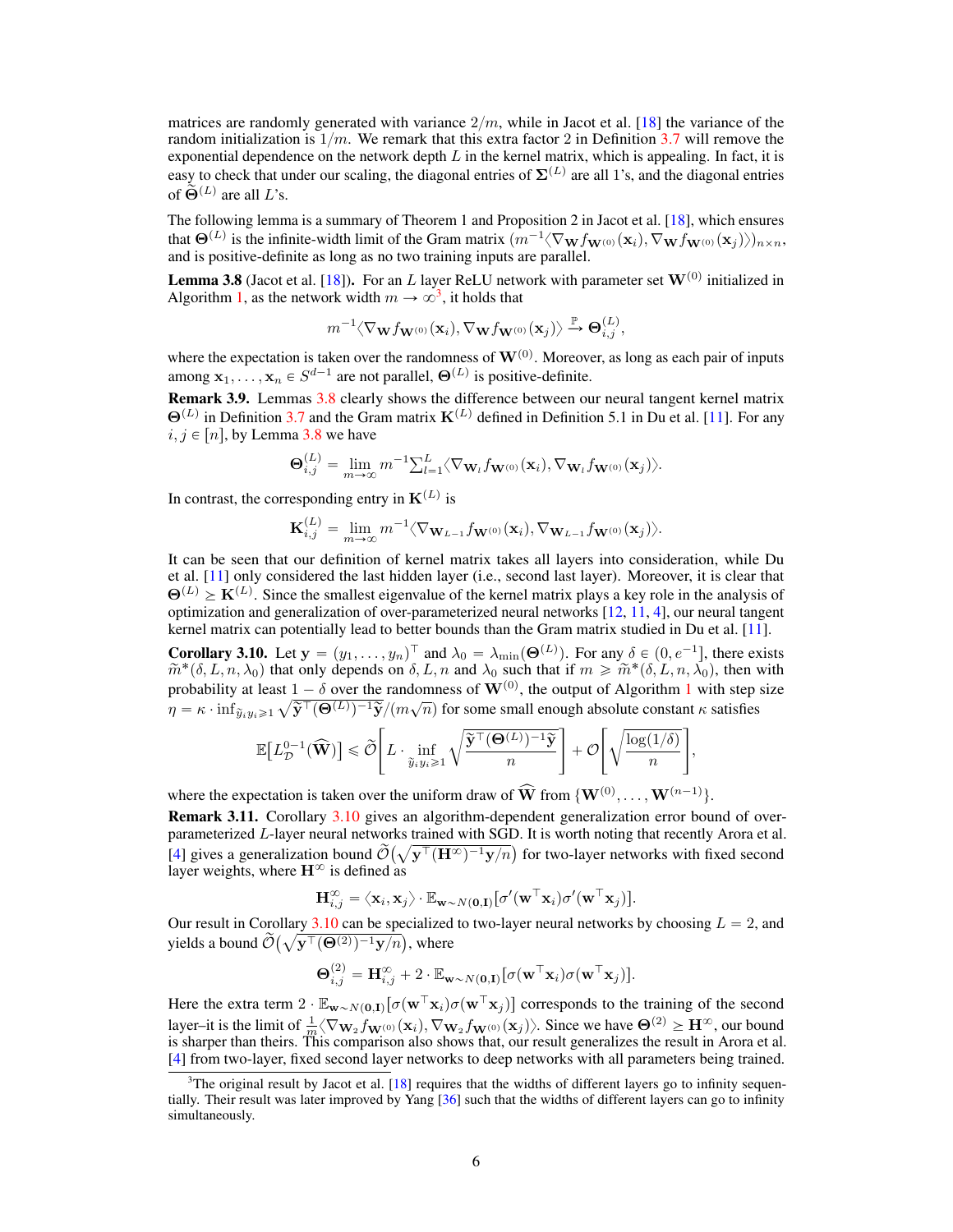matrices are randomly generated with variance  $2/m$ , while in Jacot et al. [\[18\]](#page-9-15) the variance of the random initialization is  $1/m$ . We remark that this extra factor 2 in Definition [3.7](#page-4-2) will remove the exponential dependence on the network depth  $L$  in the kernel matrix, which is appealing. In fact, it is easy to check that under our scaling, the diagonal entries of  $\Sigma^{(L)}$  are all 1's, and the diagonal entries of  $\bigodot^{\infty}(L)$  are all  $L$ 's.

The following lemma is a summary of Theorem 1 and Proposition 2 in Jacot et al. [\[18\]](#page-9-15), which ensures that  $\Theta^{(L)}$  is the infinite-width limit of the Gram matrix  $(m^{-1}\langle \nabla_{\bf W} f_{{\bf W}^{(0)}}({\bf x}_i), \nabla_{\bf W} f_{{\bf W}^{(0)}}({\bf x}_j) \rangle)_{n \times n}$ , and is positive-definite as long as no two training inputs are parallel.

<span id="page-5-1"></span>**Lemma 3.8** (Jacot et al. [\[18\]](#page-9-15)). For an L layer ReLU network with parameter set  $W^{(0)}$  initialized in Algorithm [1,](#page-2-1) as the network width  $m \to \infty^3$  $m \to \infty^3$ , it holds that

$$
m^{-1}\langle\nabla_{\mathbf{W}}f_{\mathbf{W}^{(0)}}(\mathbf{x}_i),\nabla_{\mathbf{W}}f_{\mathbf{W}^{(0)}}(\mathbf{x}_j)\rangle\stackrel{\mathbb{P}}{\rightarrow}\Theta_{i,j}^{(L)},
$$

where the expectation is taken over the randomness of  $\mathbf{W}^{(0)}$ . Moreover, as long as each pair of inputs among  $\mathbf{x}_1, \dots, \mathbf{x}_n \in S^{d-1}$  are not parallel,  $\Theta^{(L)}$  is positive-definite.

Remark 3.9. Lemmas [3.8](#page-5-1) clearly shows the difference between our neural tangent kernel matrix  $\Theta^{(L)}$  in Definition [3.7](#page-4-2) and the Gram matrix  $\mathbf{K}^{(L)}$  defined in Definition 5.1 in Du et al. [\[11\]](#page-9-3). For any  $i, j \in [n]$ , by Lemma [3.8](#page-5-1) we have

$$
\mathbf{\Theta}_{i,j}^{(L)} = \lim_{m \to \infty} m^{-1} \sum_{l=1}^{L} \langle \nabla_{\mathbf{W}_l} f_{\mathbf{W}^{(0)}}(\mathbf{x}_i), \nabla_{\mathbf{W}_l} f_{\mathbf{W}^{(0)}}(\mathbf{x}_j) \rangle.
$$

In contrast, the corresponding entry in  $K^{(L)}$  is

$$
\mathbf{K}_{i,j}^{(L)} = \lim_{m \to \infty} m^{-1} \langle \nabla_{\mathbf{W}_{L-1}} f_{\mathbf{W}^{(0)}}(\mathbf{x}_i), \nabla_{\mathbf{W}_{L-1}} f_{\mathbf{W}^{(0)}}(\mathbf{x}_j) \rangle.
$$

It can be seen that our definition of kernel matrix takes all layers into consideration, while Du et al. [\[11\]](#page-9-3) only considered the last hidden layer (i.e., second last layer). Moreover, it is clear that  $\Theta^{(L)} \geq K^{(L)}$ . Since the smallest eigenvalue of the kernel matrix plays a key role in the analysis of optimization and generalization of over-parameterized neural networks [\[12,](#page-9-1) [11,](#page-9-3) [4\]](#page-9-11), our neural tangent kernel matrix can potentially lead to better bounds than the Gram matrix studied in Du et al. [\[11\]](#page-9-3).

<span id="page-5-2"></span>**Corollary 3.10.** Let  $\mathbf{y} = (y_1, \dots, y_n)^\top$  and  $\lambda_0 = \lambda_{\min}(\mathbf{\Theta}^{(L)})$ . For any  $\delta \in (0, e^{-1}]$ , there exists  $\widetilde{m}^*(\delta, L, n, \lambda_0)$  that only depends on  $\delta, L, n$  and  $\lambda_0$  such that if  $m \geq \widetilde{m}^*(\delta, L, n, \lambda_0)$ , then with probability at least  $1 - \delta$  $1 - \delta$  over the randomness of  $\mathbf{W}^{(0)}$ , the output of Algorithm 1 with step size  $\eta = \kappa \cdot \inf_{\tilde{y}_i y_i \geq 1} \sqrt{\tilde{y}^{\top}(\Theta^{(L)})^{-1} \tilde{y}} / (m\sqrt{n})$  for some small enough absolute constant  $\kappa$  satisfies

$$
\mathbb{E}\big[L_{\mathcal{D}}^{0-1}(\widehat{\mathbf{W}})\big] \leqslant \widetilde{\mathcal{O}}\Bigg[L \cdot \inf_{\widetilde{y}_i y_i \geqslant 1} \sqrt{\frac{\widetilde{\mathbf{y}}^\top (\mathbf{\Theta}^{(L)})^{-1} \widetilde{\mathbf{y}}}{n}}\Bigg] + \mathcal{O}\Bigg[\sqrt{\frac{\log(1/\delta)}{n}}\Bigg],
$$

where the expectation is taken over the uniform draw of  $\widehat{W}$  from  $\{W^{(0)}, \ldots, W^{(n-1)}\}$ .

Remark 3.11. Corollary [3.10](#page-5-2) gives an algorithm-dependent generalization error bound of overparameterized  $L$ -layer neural networks trained with SGD. It is worth noting that recently Arora et al. [\[4\]](#page-9-11) gives a generalization bound  $\widetilde{\mathcal{O}}(\sqrt{\mathbf{y}^{\top}(\mathbf{H}^{\infty})^{-1}\mathbf{y}/n})$  for two-layer networks with fixed second layer weights, where  $H^{\infty}$  is defined as

$$
\mathbf{H}_{i,j}^{\infty} = \langle \mathbf{x}_i, \mathbf{x}_j \rangle \cdot \mathbb{E}_{\mathbf{w} \sim N(\mathbf{0},\mathbf{I})} \big[ \sigma'(\mathbf{w}^\top \mathbf{x}_i) \sigma'(\mathbf{w}^\top \mathbf{x}_j) \big].
$$

Our result in Corollary [3.10](#page-5-2) can be specialized to two-layer neural networks by choosing  $L = 2$ , and yields a bound  $\widetilde{\mathcal{O}}(\sqrt{\mathbf{y}^{\top}(\mathbf{\Theta}^{(2)})^{-1}\mathbf{y}/n})$ , where

$$
\mathbf{\Theta}_{i,j}^{(2)} = \mathbf{H}_{i,j}^{\infty} + 2 \cdot \mathbb{E}_{\mathbf{w} \sim N(\mathbf{0},\mathbf{I})} \big[ \sigma(\mathbf{w}^{\top} \mathbf{x}_i) \sigma(\mathbf{w}^{\top} \mathbf{x}_j) \big].
$$

Here the extra term  $2 \cdot \mathbb{E}_{\mathbf{w} \sim N(\mathbf{0},\mathbf{I})} [\sigma(\mathbf{w}^\top \mathbf{x}_i) \sigma(\mathbf{w}^\top \mathbf{x}_j)]$  corresponds to the training of the second layer–it is the limit of  $\frac{1}{m} \langle \nabla_{\mathbf{W}_2} f_{\mathbf{W}^{(0)}}(\mathbf{x}_i), \nabla_{\mathbf{W}_2} f_{\mathbf{W}^{(0)}}(\mathbf{x}_j) \rangle$ . Since we have  $\Theta^{(2)} \ge \mathbf{H}^{\infty}$ , our bound is sharper than theirs. This comparison also shows that, our result generalizes the result in Arora et al. [\[4\]](#page-9-11) from two-layer, fixed second layer networks to deep networks with all parameters being trained.

<span id="page-5-0"></span> $3$ The original result by Jacot et al. [\[18\]](#page-9-15) requires that the widths of different layers go to infinity sequentially. Their result was later improved by Yang [\[36\]](#page-10-16) such that the widths of different layers can go to infinity simultaneously.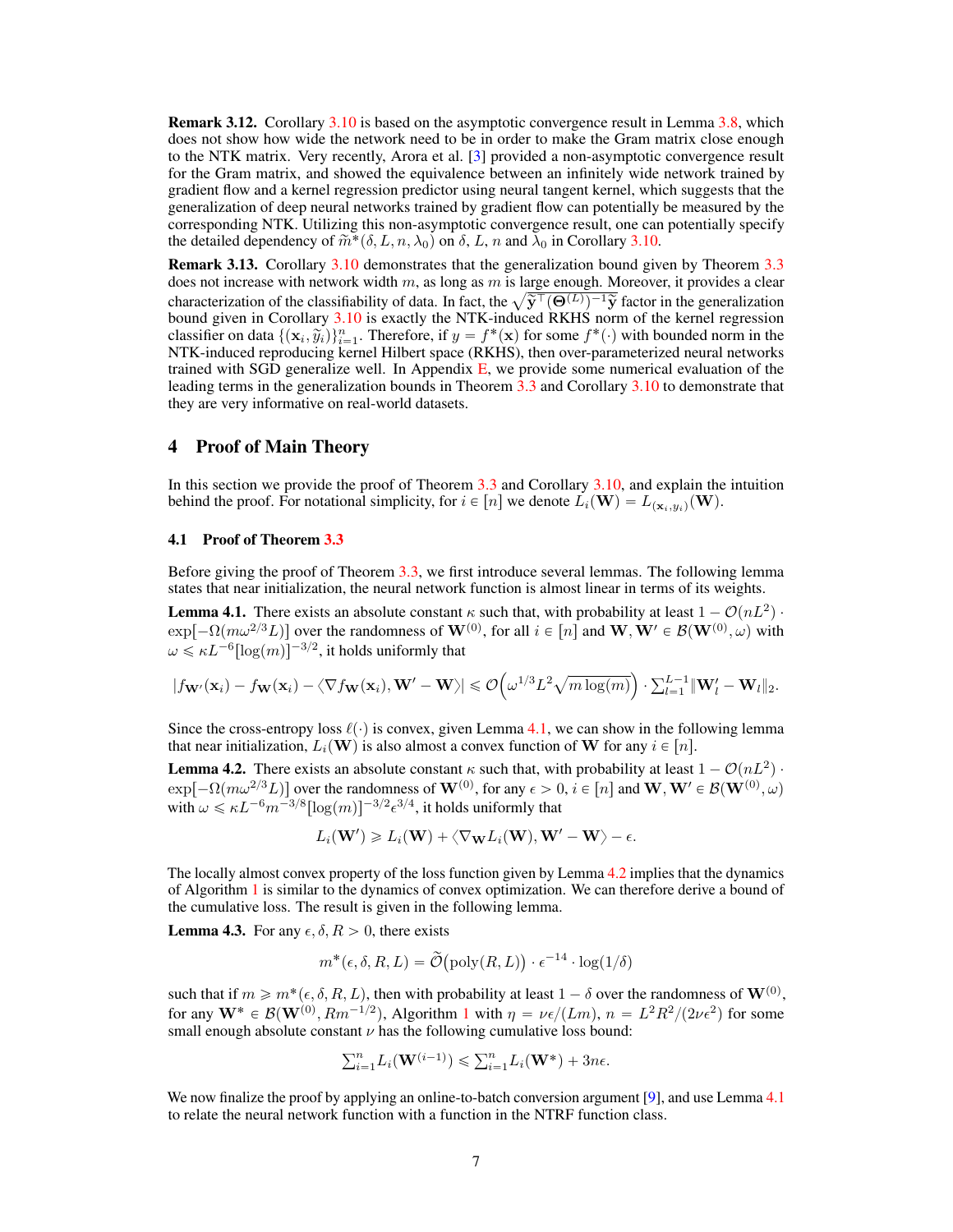Remark 3.12. Corollary [3.10](#page-5-2) is based on the asymptotic convergence result in Lemma [3.8,](#page-5-1) which does not show how wide the network need to be in order to make the Gram matrix close enough to the NTK matrix. Very recently, Arora et al. [\[3\]](#page-9-17) provided a non-asymptotic convergence result for the Gram matrix, and showed the equivalence between an infinitely wide network trained by gradient flow and a kernel regression predictor using neural tangent kernel, which suggests that the generalization of deep neural networks trained by gradient flow can potentially be measured by the corresponding NTK. Utilizing this non-asymptotic convergence result, one can potentially specify the detailed dependency of  $\widetilde{m}^*(\delta, L, n, \lambda_0)$  on  $\delta, L, n$  and  $\lambda_0$  in Corollary [3.10.](#page-5-2)

Remark 3.13. Corollary [3.10](#page-5-2) demonstrates that the generalization bound given by Theorem [3.3](#page-3-2) does not increase with network width  $m$ , as long as  $m$  is large enough. Moreover, it provides a clear does not increase with network width m, as long as m is large enough. Moreover, it provides a clear characterization of the classifiability of data. In fact, the  $\sqrt{\tilde{\mathbf{y}}^{\top}(\mathbf{\Theta}^{(L)})^{-1}\tilde{\mathbf{y}}}$  factor in the genera bound given in Corollary [3.10](#page-5-2) is exactly the NTK-induced RKHS norm of the kernel regression classifier on data  $\{(\mathbf{x}_i, \tilde{y}_i)\}_{i=1}^n$ . Therefore, if  $y = f^*(\mathbf{x})$  for some  $f^*(\cdot)$  with bounded norm in the NTK-induced reproducing kernel Hilbert space (RKHS), then over-parameterized neural networks trained with SGD generalize well. In Appendix  $E$ , we provide some numerical evaluation of the leading terms in the generalization bounds in Theorem [3.3](#page-3-2) and Corollary [3.10](#page-5-2) to demonstrate that they are very informative on real-world datasets.

## <span id="page-6-0"></span>4 Proof of Main Theory

In this section we provide the proof of Theorem [3.3](#page-3-2) and Corollary [3.10,](#page-5-2) and explain the intuition behind the proof. For notational simplicity, for  $i \in [n]$  we denote  $L_i(\mathbf{W}) = L_{(\mathbf{x}_i, y_i)}(\mathbf{W})$ .

#### 4.1 Proof of Theorem [3.3](#page-3-2)

Before giving the proof of Theorem [3.3,](#page-3-2) we first introduce several lemmas. The following lemma states that near initialization, the neural network function is almost linear in terms of its weights.

<span id="page-6-1"></span>**Lemma 4.1.** There exists an absolute constant  $\kappa$  such that, with probability at least  $1 - \mathcal{O}(nL^2)$ .  $exp[-\Omega(m\omega^{2/3}L)]$  over the randomness of  $\mathbf{W}^{(0)}$ , for all  $i \in [n]$  and  $\mathbf{W},\mathbf{W}' \in \mathcal{B}(\mathbf{W}^{(0)},\omega)$  with  $\omega \leqslant \kappa L^{-6} [\log(m)]^{-3/2},$  it holds uniformly that

$$
|f_{\mathbf{W}'}(\mathbf{x}_i) - f_{\mathbf{W}}(\mathbf{x}_i) - \langle \nabla f_{\mathbf{W}}(\mathbf{x}_i), \mathbf{W}' - \mathbf{W} \rangle| \leq \mathcal{O}\left(\omega^{1/3} L^2 \sqrt{m \log(m)}\right) \cdot \sum_{l=1}^{L-1} \|\mathbf{W}'_l - \mathbf{W}_l\|_2.
$$

Since the cross-entropy loss  $\ell(\cdot)$  is convex, given Lemma [4.1,](#page-6-1) we can show in the following lemma that near initialization,  $L_i(\mathbf{W})$  is also almost a convex function of W for any  $i \in [n]$ .

<span id="page-6-2"></span>**Lemma 4.2.** There exists an absolute constant  $\kappa$  such that, with probability at least  $1 - \mathcal{O}(nL^2)$ .  $\exp[-\Omega(m\omega^{2/3}L)]$  over the randomness of  $\mathbf{W}^{(0)}$ , for any  $\epsilon > 0$ ,  $i \in [n]$  and  $\mathbf{W},\mathbf{W}' \in \mathcal{B}(\mathbf{W}^{(0)},\omega)$ with  $\omega \leqslant \kappa L^{-6} m^{-3/8} [\log(m)]^{-3/2} \epsilon^{3/4},$  it holds uniformly that

$$
L_i(\mathbf{W}') \geq L_i(\mathbf{W}) + \langle \nabla_{\mathbf{W}} L_i(\mathbf{W}), \mathbf{W}' - \mathbf{W} \rangle - \epsilon.
$$

The locally almost convex property of the loss function given by Lemma [4.2](#page-6-2) implies that the dynamics of Algorithm [1](#page-2-1) is similar to the dynamics of convex optimization. We can therefore derive a bound of the cumulative loss. The result is given in the following lemma.

<span id="page-6-3"></span>**Lemma 4.3.** For any  $\epsilon, \delta, R > 0$ , there exists

$$
m^*(\epsilon, \delta, R, L) = \widetilde{\mathcal{O}}(\text{poly}(R, L)) \cdot \epsilon^{-14} \cdot \log(1/\delta)
$$

such that if  $m \geqslant m^*(\epsilon, \delta, R, L)$ , then with probability at least  $1-\delta$  over the randomness of  $\mathbf{W}^{(0)},$ for any  $W^* \in \mathcal{B}(W^{(0)}, Rm^{-1/2})$  $W^* \in \mathcal{B}(W^{(0)}, Rm^{-1/2})$  $W^* \in \mathcal{B}(W^{(0)}, Rm^{-1/2})$ , Algorithm 1 with  $\eta = \nu \epsilon/(Lm)$ ,  $n = L^2 R^2/(2\nu \epsilon^2)$  for some small enough absolute constant  $\nu$  has the following cumulative loss bound:

$$
\sum_{i=1}^n L_i(\mathbf{W}^{(i-1)}) \leq \sum_{i=1}^n L_i(\mathbf{W}^*) + 3n\epsilon.
$$

We now finalize the proof by applying an online-to-batch conversion argument [\[9\]](#page-9-14), and use Lemma [4.1](#page-6-1) to relate the neural network function with a function in the NTRF function class.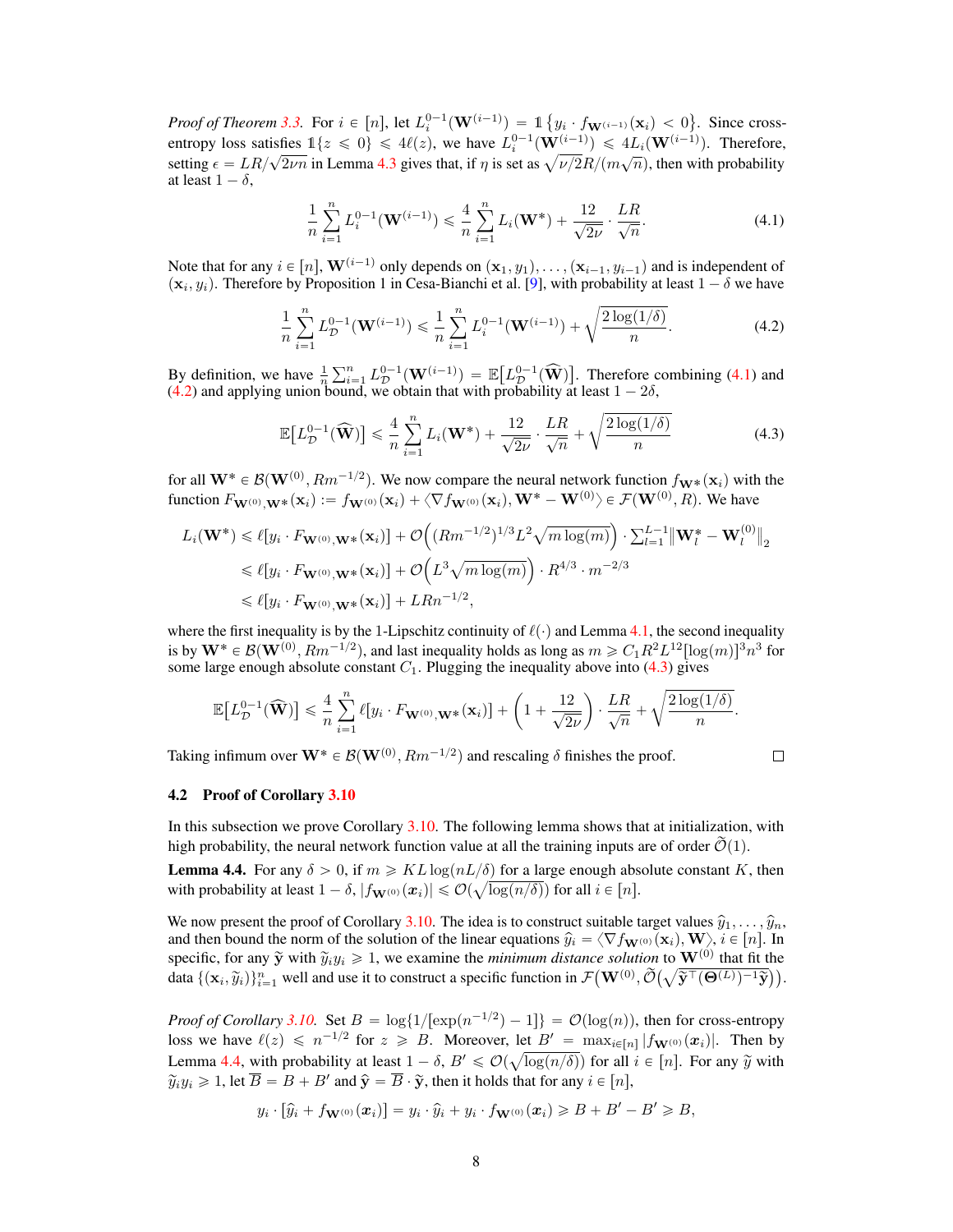*Proof of Theorem [3.3.](#page-3-2)* For  $i \in [n]$ , let  $L_i^{0-1}(\mathbf{W}^{(i-1)}) = 1$  $y_i \cdot f_{\mathbf{W}^{(i-1)}}(\mathbf{x}_i) < 0$ . Since crossentropy loss satisfies  $1\{z \le 0\} \le 4\ell(z)$ , we have  $L_i^{0-1}(\mathbf{W}^{(i-1)}) \le 4L_i(\mathbf{W}^{(i-1)})$ . Therefore, entropy loss satisfies  $1\{z \leq 0\} \leq 4\ell(z)$ , we have  $L_i^{\sigma-1}(\mathbf{W}^{(i-1)}) \leq 4L_i(\mathbf{W}^{(i-1)})$ . Therefore, setting  $\epsilon = LR/\sqrt{2\nu n}$  in Lemma [4.3](#page-6-3) gives that, if  $\eta$  is set as  $\sqrt{\nu/2}R/(m\sqrt{n})$ , then with probability at least  $1 - \delta$ ,

<span id="page-7-0"></span>
$$
\frac{1}{n}\sum_{i=1}^{n} L_i^{0-1}(\mathbf{W}^{(i-1)}) \leq \frac{4}{n}\sum_{i=1}^{n} L_i(\mathbf{W}^*) + \frac{12}{\sqrt{2\nu}} \cdot \frac{LR}{\sqrt{n}}.\tag{4.1}
$$

Note that for any  $i \in [n]$ ,  $\mathbf{W}^{(i-1)}$  only depends on  $(\mathbf{x}_1, y_1), \ldots, (\mathbf{x}_{i-1}, y_{i-1})$  and is independent of  $(\mathbf{x}_i, y_i)$ . Therefore by Proposition 1 in Cesa-Bianchi et al. [\[9\]](#page-9-14), with probability at least  $1 - \delta$  we have

$$
\frac{1}{n}\sum_{i=1}^{n} L_{\mathcal{D}}^{0-1}(\mathbf{W}^{(i-1)}) \leq \frac{1}{n}\sum_{i=1}^{n} L_{i}^{0-1}(\mathbf{W}^{(i-1)}) + \sqrt{\frac{2\log(1/\delta)}{n}}.
$$
(4.2)

By definition, we have  $\frac{1}{n}$  $\sum^n$  $\sum\limits_{i=1}^n L_{\mathcal{D}}^{0-1}(\mathbf{W}^{(i-1)}) = \mathbb{E}$  $L^{0-1}_{\mathcal{D}}(\widehat{\mathbf{W}})\big]$ . Therefore combining [\(4.1\)](#page-7-0) and [\(4.2\)](#page-7-1) and applying union bound, we obtain that with probability at least  $1 - 2\delta$ ,

$$
\mathbb{E}\left[L_{\mathcal{D}}^{0-1}(\widehat{\mathbf{W}})\right] \leqslant \frac{4}{n} \sum_{i=1}^{n} L_i(\mathbf{W}^*) + \frac{12}{\sqrt{2\nu}} \cdot \frac{LR}{\sqrt{n}} + \sqrt{\frac{2\log(1/\delta)}{n}}\tag{4.3}
$$

for all  $\mathbf{W}^* \in \mathcal{B}(\mathbf{W}^{(0)}, Rm^{-1/2})$ . We now compare the neural network function  $f_{\mathbf{W}^*}(\mathbf{x}_i)$  with the function  $F_{\mathbf{W}^{(0)},\mathbf{W}}*(\mathbf{x}_i) := f_{\mathbf{W}^{(0)}}(\mathbf{x}_i) + \langle \nabla f_{\mathbf{W}^{(0)}}(\mathbf{x}_i),\mathbf{W}^*-\mathbf{W}^{(0)}\rangle \in \mathcal{F}(\mathbf{W}^{(0)},R)$ . We have

$$
L_i(\mathbf{W}^*) \leq \ell[y_i \cdot F_{\mathbf{W}^{(0)},\mathbf{W}^*}(\mathbf{x}_i)] + \mathcal{O}\Big((Rm^{-1/2})^{1/3}L^2\sqrt{m\log(m)}\Big) \cdot \sum_{l=1}^{L-1} \|\mathbf{W}_l^* - \mathbf{W}_l^{(0)}\|_2
$$
  
\$\leq \ell[y\_i \cdot F\_{\mathbf{W}^{(0)},\mathbf{W}^\*}(\mathbf{x}\_i)] + \mathcal{O}\Big(L^3\sqrt{m\log(m)}\Big) \cdot R^{4/3} \cdot m^{-2/3}\$  
\$\leq \ell[y\_i \cdot F\_{\mathbf{W}^{(0)},\mathbf{W}^\*}(\mathbf{x}\_i)] + LRn^{-1/2},

where the first inequality is by the 1-Lipschitz continuity of  $\ell(\cdot)$  and Lemma [4.1,](#page-6-1) the second inequality is by  $\mathbf{W}^* \in \mathcal{B}(\mathbf{W}^{(0)},Rm^{-1/2}),$  and last inequality holds as long as  $m \geqslant C_1R^2L^{12}[\log(m)]^3n^3$  for some large enough absolute constant  $C_1$ . Plugging the inequality above into [\(4.3\)](#page-7-2) gives

$$
\mathbb{E}\big[L_{\mathcal{D}}^{0-1}(\widehat{\mathbf{W}})\big] \leqslant \frac{4}{n}\sum_{i=1}^n \ell[y_i \cdot F_{\mathbf{W}^{(0)},\mathbf{W}^*}(\mathbf{x}_i)] + \left(1 + \frac{12}{\sqrt{2\nu}}\right)\cdot \frac{LR}{\sqrt{n}} + \sqrt{\frac{2\log(1/\delta)}{n}}.
$$

Taking infimum over  $\mathbf{W}^* \in \mathcal{B}(\mathbf{W}^{(0)},Rm^{-1/2})$  and rescaling  $\delta$  finishes the proof.

<span id="page-7-2"></span><span id="page-7-1"></span> $\Box$ 

#### 4.2 Proof of Corollary [3.10](#page-5-2)

In this subsection we prove Corollary [3.10.](#page-5-2) The following lemma shows that at initialization, with high probability, the neural network function value at all the training inputs are of order  $\tilde{\mathcal{O}}(1)$ .

<span id="page-7-3"></span>**Lemma 4.4.** For any  $\delta > 0$ , if  $m \geq KL \log(nL/\delta)$  for a large enough absolute constant K, then with probability at least  $1-\delta, |f_{\mathbf{W}^{(0)}}(\boldsymbol{x}_i)| \leqslant \mathcal{O}(\sqrt{\log(n/\delta)})$  for all  $i \in [n].$ 

We now present the proof of Corollary [3.10.](#page-5-2) The idea is to construct suitable target values  $\hat{y}_1, \ldots, \hat{y}_n$ , and then bound the norm of the solution of the linear equations  $\hat{y}_i = \langle \nabla f_{\mathbf{W}^{(0)}}(\mathbf{x}_i), \mathbf{W} \rangle, i \in [n]$ . In specific, for any  $\tilde{y}$  with  $\tilde{y}_i y_i \geq 1$ , we examine the *minimum distance solution* to  $\mathbf{W}^{(0)}$  that fit the data  $\{(\mathbf{x}_i, \tilde{y}_i)\}_{i=1}^n$  well and use it to construct a specific function in  $\mathcal{F}(\mathbf{W}^{(0)}, \tilde{\mathcal{O}}(\sqrt{\tilde{\mathbf{y}}^{\top}(\mathbf{\Theta}^{(L)})^{-1}\tilde{\mathbf{y}}}))$ .

*Proof of Corollary* [3.10.](#page-5-2) Set  $B = \log\{1/[\exp(n^{-1/2}) - 1]\} = \mathcal{O}(\log(n))$ , then for cross-entropy loss we have  $\ell(z) \leq n^{-1/2}$  for  $z \geq B$ . Moreover, let  $B' = \max_{i \in [n]} |f_{\mathbf{W}^{(0)}}(x_i)|$ . Then by Lemma [4.4,](#page-7-3) with probability at least  $1 - \delta$ ,  $B' \leq \mathcal{O}(\sqrt{\log(n/\delta)})$  for all  $i \in [n]$ . For any  $\widetilde{y}$  with  $\widetilde{y}_i y_i \geqslant 1$ , let  $\overline{B} = B + B'$  and  $\widehat{\mathbf{y}} = \overline{B} \cdot \widetilde{\mathbf{y}}$ , then it holds that for any  $i \in [n]$ ,

$$
y_i \cdot [\widehat{y}_i + f_{\mathbf{W}^{(0)}}(\mathbf{x}_i)] = y_i \cdot \widehat{y}_i + y_i \cdot f_{\mathbf{W}^{(0)}}(\mathbf{x}_i) \geq B + B' - B' \geq B,
$$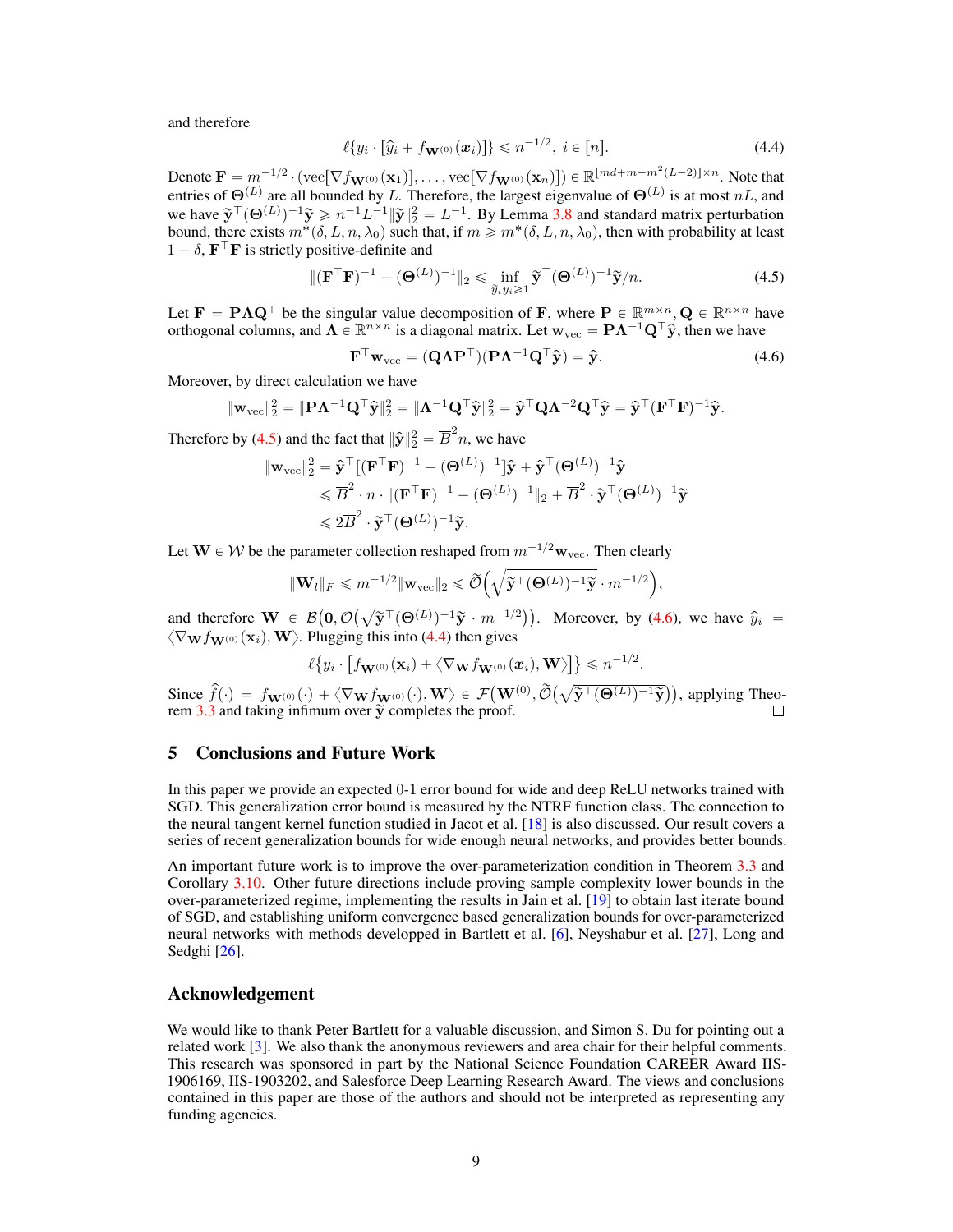and therefore

<span id="page-8-2"></span>
$$
\ell\{y_i \cdot [\hat{y}_i + f_{\mathbf{W}^{(0)}}(\mathbf{x}_i)]\} \leq n^{-1/2}, \ i \in [n]. \tag{4.4}
$$

Denote  $\mathbf{F} = m^{-1/2} \cdot (\text{vec}[\nabla f_{\mathbf{W}^{(0)}}(\mathbf{x}_1)], \dots, \text{vec}[\nabla f_{\mathbf{W}^{(0)}}(\mathbf{x}_n)]) \in \mathbb{R}^{[md+m+m^2(L-2)] \times n}$ . Note that entries of  $\Theta^{(L)}$  are all bounded by L. Therefore, the largest eigenvalue of  $\Theta^{(L)}$  is at most nL, and we have  $\tilde{\mathbf{y}}^{\top}(\mathbf{\Theta}^{(L)})^{-1}\tilde{\mathbf{y}} \geqslant n^{-1}L^{-1}\|\tilde{\mathbf{y}}\|_2^2 = L^{-1}$ . By Lemma [3.8](#page-5-1) and standard matrix perturbation bound, there exists  $m^*(\delta, L, n, \lambda_0)$  such that, if  $m \geq m^*(\delta, L, n, \lambda_0)$ , then with probability at least  $1 - \delta$ ,  $\mathbf{F}^\top \mathbf{F}$  is strictly positive-definite and

$$
\|(\mathbf{F}^{\top}\mathbf{F})^{-1} - (\mathbf{\Theta}^{(L)})^{-1}\|_{2} \leq \inf_{\widetilde{y}_{i}y_{i} \geq 1} \widetilde{\mathbf{y}}^{\top}(\mathbf{\Theta}^{(L)})^{-1}\widetilde{\mathbf{y}}/n.
$$
 (4.5)

Let  $\mathbf{F} = \mathbf{P} \mathbf{\Lambda} \mathbf{Q}^{\top}$  be the singular value decomposition of F, where  $\mathbf{P} \in \mathbb{R}^{m \times n}$ ,  $\mathbf{Q} \in \mathbb{R}^{n \times n}$  have orthogonal columns, and  $\Lambda \in \mathbb{R}^{n \times n}$  is a diagonal matrix. Let  $w_{\text{vec}} = P\Lambda^{-1}Q^{\top}\hat{y}$ , then we have

<span id="page-8-1"></span><span id="page-8-0"></span>
$$
\mathbf{F}^{\top}\mathbf{w}_{\text{vec}} = (\mathbf{Q}\Lambda \mathbf{P}^{\top})(\mathbf{P}\Lambda^{-1}\mathbf{Q}^{\top}\hat{\mathbf{y}}) = \hat{\mathbf{y}}.
$$
 (4.6)

Moreover, by direct calculation we have

$$
\|\mathbf{w}_{\mathrm{vec}}\|_2^2 = \|\mathbf{P}\boldsymbol{\Lambda}^{-1}\mathbf{Q}^\top\widehat{\mathbf{y}}\|_2^2 = \|\boldsymbol{\Lambda}^{-1}\mathbf{Q}^\top\widehat{\mathbf{y}}\|_2^2 = \widehat{\mathbf{y}}^\top\mathbf{Q}\boldsymbol{\Lambda}^{-2}\mathbf{Q}^\top\widehat{\mathbf{y}} = \widehat{\mathbf{y}}^\top(\mathbf{F}^\top\mathbf{F})^{-1}\widehat{\mathbf{y}}.
$$

Therefore by [\(4.5\)](#page-8-0) and the fact that  $\|\hat{\mathbf{y}}\|_2^2 = \overline{B}^2 n$ , we have

$$
\begin{aligned} \|\mathbf{w}_{\text{vec}}\|_2^2 &= \hat{\mathbf{y}}^\top [(\mathbf{F}^\top \mathbf{F})^{-1} - (\mathbf{\Theta}^{(L)})^{-1}]\hat{\mathbf{y}} + \hat{\mathbf{y}}^\top (\mathbf{\Theta}^{(L)})^{-1}\hat{\mathbf{y}} \\ &\leqslant \overline{B}^2 \cdot n \cdot \|(\mathbf{F}^\top \mathbf{F})^{-1} - (\mathbf{\Theta}^{(L)})^{-1}\|_2 + \overline{B}^2 \cdot \tilde{\mathbf{y}}^\top (\mathbf{\Theta}^{(L)})^{-1}\tilde{\mathbf{y}} \\ &\leqslant 2\overline{B}^2 \cdot \tilde{\mathbf{y}}^\top (\mathbf{\Theta}^{(L)})^{-1}\tilde{\mathbf{y}}. \end{aligned}
$$

Let  $\mathbf{W} \in \mathcal{W}$  be the parameter collection reshaped from  $m^{-1/2}\mathbf{w}_{\text{vec}}$ . Then clearly

$$
\|\mathbf{W}_{l}\|_{F} \leqslant m^{-1/2} \|\mathbf{w}_{\text{vec}}\|_{2} \leqslant \widetilde{\mathcal{O}}\left(\sqrt{\widetilde{\mathbf{y}}^{\top}(\mathbf{\Theta}^{(L)})^{-1}\widetilde{\mathbf{y}}}\cdot m^{-1/2}\right),
$$

and therefore  $\mathbf{W} \in \mathcal{B}$  $\mathbf{0}, \mathcal{O}$  $\overline{\mathbf{\widetilde{y}}^\top(\mathbf{\Theta}^{(L)})^{-1}\widetilde{\mathbf{y}}}$  .  $m^{-1/2}$ . Moreover, by [\(4.6\)](#page-8-1), we have  $\hat{y}_i$  =  $\langle \nabla_{\mathbf{W}} f_{\mathbf{W}^{(0)}}(\mathbf{x}_i), \mathbf{W} \rangle$ . Plugging this into [\(4.4\)](#page-8-2) then gives ‰(

$$
\ell\big\{y_i\cdot\big[f_{\mathbf{W}^{(0)}}(\mathbf{x}_i)+\langle\nabla_{\mathbf{W}}f_{\mathbf{W}^{(0)}}(\mathbf{x}_i),\mathbf{W}\rangle\big]\big\}\leqslant n^{-1/2}.
$$

Since  $\hat{f}(\cdot) = f_{\mathbf{W}^{(0)}}(\cdot) + \langle \nabla_{\mathbf{W}} f_{\mathbf{W}^{(0)}}(\cdot), \mathbf{W} \rangle \in \mathcal{F}$  $\mathbf{W}^{(0)}, \widetilde{\mathcal{O}}(\sqrt{\vphantom{a}})$  $\overline{\mathbf{\widetilde{y}}^\top(\mathbf{\Theta}^{(L)})^{-1}\widetilde{\mathbf{y}}}$ , applying Theorem  $3.\overline{3}$  and taking infimum over  $\overline{\mathbf{y}}$  completes the proof.

## 5 Conclusions and Future Work

In this paper we provide an expected 0-1 error bound for wide and deep ReLU networks trained with SGD. This generalization error bound is measured by the NTRF function class. The connection to the neural tangent kernel function studied in Jacot et al. [\[18\]](#page-9-15) is also discussed. Our result covers a series of recent generalization bounds for wide enough neural networks, and provides better bounds.

An important future work is to improve the over-parameterization condition in Theorem [3.3](#page-3-2) and Corollary [3.10.](#page-5-2) Other future directions include proving sample complexity lower bounds in the over-parameterized regime, implementing the results in Jain et al. [\[19\]](#page-9-18) to obtain last iterate bound of SGD, and establishing uniform convergence based generalization bounds for over-parameterized neural networks with methods developped in Bartlett et al. [\[6\]](#page-9-4), Neyshabur et al. [\[27\]](#page-10-5), Long and Sedghi [\[26\]](#page-10-18).

## Acknowledgement

We would like to thank Peter Bartlett for a valuable discussion, and Simon S. Du for pointing out a related work [\[3\]](#page-9-17). We also thank the anonymous reviewers and area chair for their helpful comments. This research was sponsored in part by the National Science Foundation CAREER Award IIS-1906169, IIS-1903202, and Salesforce Deep Learning Research Award. The views and conclusions contained in this paper are those of the authors and should not be interpreted as representing any funding agencies.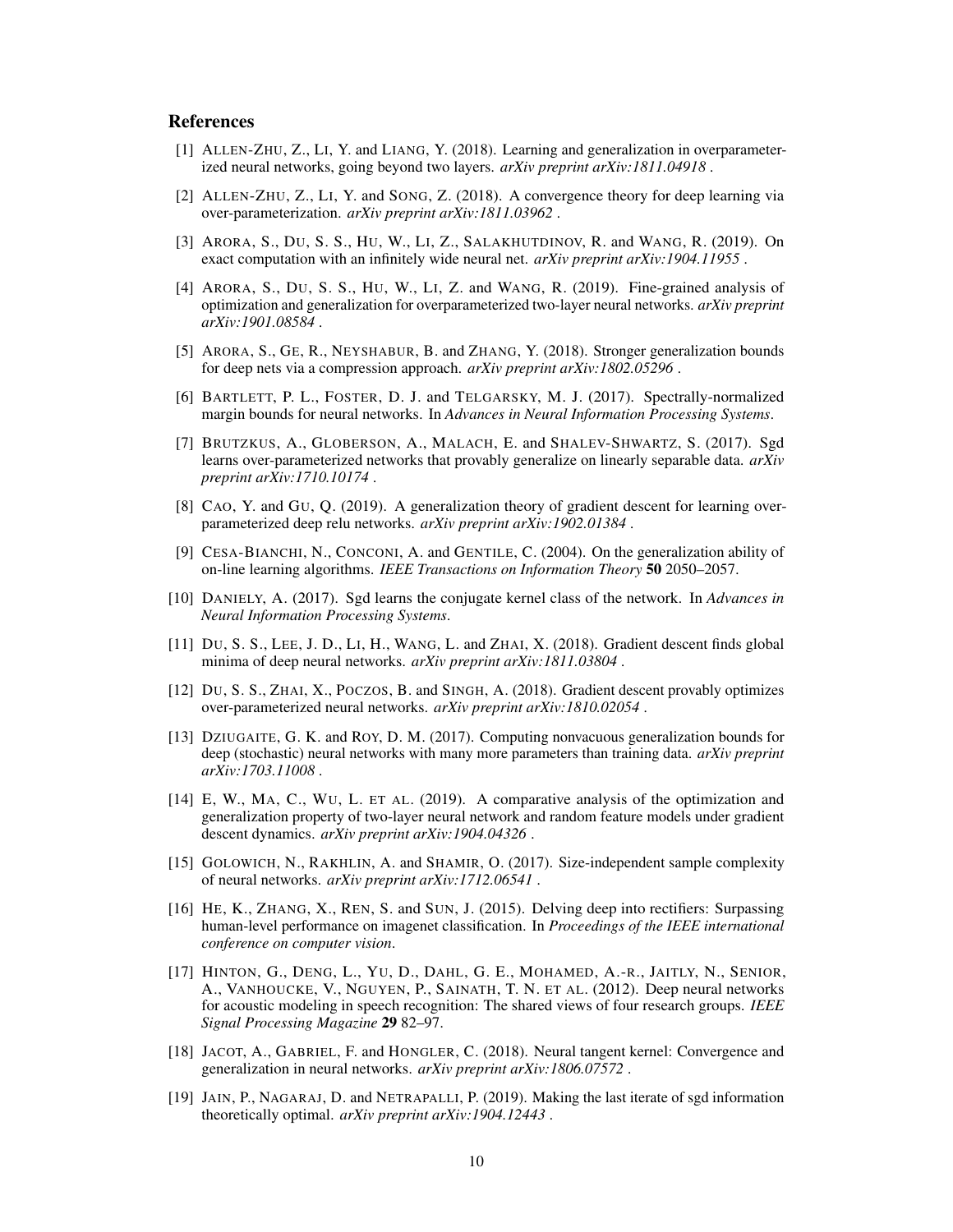### References

- <span id="page-9-9"></span>[1] ALLEN-ZHU, Z., LI, Y. and LIANG, Y. (2018). Learning and generalization in overparameterized neural networks, going beyond two layers. *arXiv preprint arXiv:1811.04918* .
- <span id="page-9-2"></span>[2] ALLEN-ZHU, Z., LI, Y. and SONG, Z. (2018). A convergence theory for deep learning via over-parameterization. *arXiv preprint arXiv:1811.03962* .
- <span id="page-9-17"></span>[3] ARORA, S., DU, S. S., HU, W., LI, Z., SALAKHUTDINOV, R. and WANG, R. (2019). On exact computation with an infinitely wide neural net. *arXiv preprint arXiv:1904.11955* .
- <span id="page-9-11"></span>[4] ARORA, S., DU, S. S., HU, W., LI, Z. and WANG, R. (2019). Fine-grained analysis of optimization and generalization for overparameterized two-layer neural networks. *arXiv preprint arXiv:1901.08584* .
- <span id="page-9-7"></span>[5] ARORA, S., GE, R., NEYSHABUR, B. and ZHANG, Y. (2018). Stronger generalization bounds for deep nets via a compression approach. *arXiv preprint arXiv:1802.05296* .
- <span id="page-9-4"></span>[6] BARTLETT, P. L., FOSTER, D. J. and TELGARSKY, M. J. (2017). Spectrally-normalized margin bounds for neural networks. In *Advances in Neural Information Processing Systems*.
- <span id="page-9-8"></span>[7] BRUTZKUS, A., GLOBERSON, A., MALACH, E. and SHALEV-SHWARTZ, S. (2017). Sgd learns over-parameterized networks that provably generalize on linearly separable data. *arXiv preprint arXiv:1710.10174* .
- <span id="page-9-12"></span>[8] CAO, Y. and GU, Q. (2019). A generalization theory of gradient descent for learning overparameterized deep relu networks. *arXiv preprint arXiv:1902.01384* .
- <span id="page-9-14"></span>[9] CESA-BIANCHI, N., CONCONI, A. and GENTILE, C. (2004). On the generalization ability of on-line learning algorithms. *IEEE Transactions on Information Theory* 50 2050–2057.
- <span id="page-9-10"></span>[10] DANIELY, A. (2017). Sgd learns the conjugate kernel class of the network. In *Advances in Neural Information Processing Systems*.
- <span id="page-9-3"></span>[11] DU, S. S., LEE, J. D., LI, H., WANG, L. and ZHAI, X. (2018). Gradient descent finds global minima of deep neural networks. *arXiv preprint arXiv:1811.03804* .
- <span id="page-9-1"></span>[12] DU, S. S., ZHAI, X., POCZOS, B. and SINGH, A. (2018). Gradient descent provably optimizes over-parameterized neural networks. *arXiv preprint arXiv:1810.02054* .
- <span id="page-9-6"></span>[13] DZIUGAITE, G. K. and ROY, D. M. (2017). Computing nonvacuous generalization bounds for deep (stochastic) neural networks with many more parameters than training data. *arXiv preprint arXiv:1703.11008* .
- <span id="page-9-13"></span>[14] E, W., MA, C., WU, L. ET AL. (2019). A comparative analysis of the optimization and generalization property of two-layer neural network and random feature models under gradient descent dynamics. *arXiv preprint arXiv:1904.04326* .
- <span id="page-9-5"></span>[15] GOLOWICH, N., RAKHLIN, A. and SHAMIR, O. (2017). Size-independent sample complexity of neural networks. *arXiv preprint arXiv:1712.06541* .
- <span id="page-9-16"></span>[16] HE, K., ZHANG, X., REN, S. and SUN, J. (2015). Delving deep into rectifiers: Surpassing human-level performance on imagenet classification. In *Proceedings of the IEEE international conference on computer vision*.
- <span id="page-9-0"></span>[17] HINTON, G., DENG, L., YU, D., DAHL, G. E., MOHAMED, A.-R., JAITLY, N., SENIOR, A., VANHOUCKE, V., NGUYEN, P., SAINATH, T. N. ET AL. (2012). Deep neural networks for acoustic modeling in speech recognition: The shared views of four research groups. *IEEE Signal Processing Magazine* 29 82–97.
- <span id="page-9-15"></span>[18] JACOT, A., GABRIEL, F. and HONGLER, C. (2018). Neural tangent kernel: Convergence and generalization in neural networks. *arXiv preprint arXiv:1806.07572* .
- <span id="page-9-18"></span>[19] JAIN, P., NAGARAJ, D. and NETRAPALLI, P. (2019). Making the last iterate of sgd information theoretically optimal. *arXiv preprint arXiv:1904.12443* .